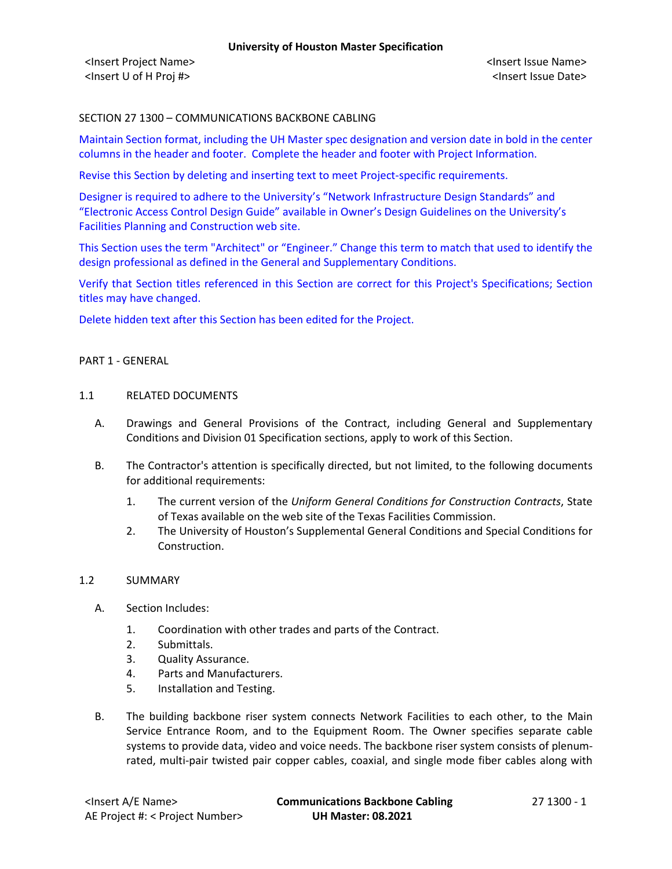# SECTION 27 1300 – COMMUNICATIONS BACKBONE CABLING

Maintain Section format, including the UH Master spec designation and version date in bold in the center columns in the header and footer. Complete the header and footer with Project Information.

Revise this Section by deleting and inserting text to meet Project-specific requirements.

Designer is required to adhere to the University's "Network Infrastructure Design Standards" and "Electronic Access Control Design Guide" available in Owner's Design Guidelines on the University's Facilities Planning and Construction web site.

This Section uses the term "Architect" or "Engineer." Change this term to match that used to identify the design professional as defined in the General and Supplementary Conditions.

Verify that Section titles referenced in this Section are correct for this Project's Specifications; Section titles may have changed.

Delete hidden text after this Section has been edited for the Project.

#### PART 1 - GENERAL

#### 1.1 RELATED DOCUMENTS

- A. Drawings and General Provisions of the Contract, including General and Supplementary Conditions and Division 01 Specification sections, apply to work of this Section.
- B. The Contractor's attention is specifically directed, but not limited, to the following documents for additional requirements:
	- 1. The current version of the *Uniform General Conditions for Construction Contracts*, State of Texas available on the web site of the Texas Facilities Commission.
	- 2. The University of Houston's Supplemental General Conditions and Special Conditions for Construction.

#### 1.2 SUMMARY

- A. Section Includes:
	- 1. Coordination with other trades and parts of the Contract.
	- 2. Submittals.
	- 3. Quality Assurance.
	- 4. Parts and Manufacturers.
	- 5. Installation and Testing.
- B. The building backbone riser system connects Network Facilities to each other, to the Main Service Entrance Room, and to the Equipment Room. The Owner specifies separate cable systems to provide data, video and voice needs. The backbone riser system consists of plenumrated, multi-pair twisted pair copper cables, coaxial, and single mode fiber cables along with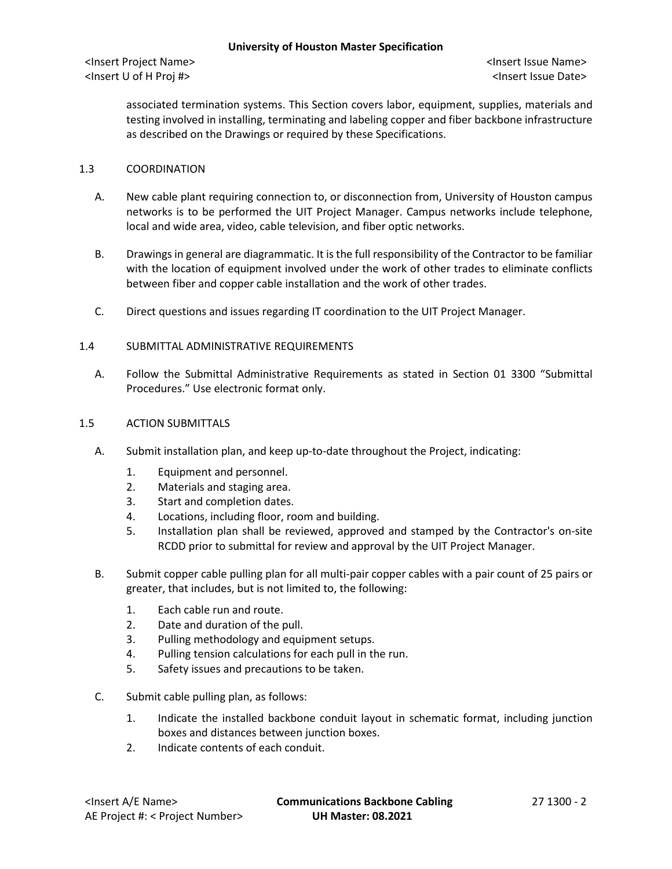associated termination systems. This Section covers labor, equipment, supplies, materials and testing involved in installing, terminating and labeling copper and fiber backbone infrastructure as described on the Drawings or required by these Specifications.

# 1.3 COORDINATION

- A. New cable plant requiring connection to, or disconnection from, University of Houston campus networks is to be performed the UIT Project Manager. Campus networks include telephone, local and wide area, video, cable television, and fiber optic networks.
- B. Drawings in general are diagrammatic. It is the full responsibility of the Contractor to be familiar with the location of equipment involved under the work of other trades to eliminate conflicts between fiber and copper cable installation and the work of other trades.
- C. Direct questions and issues regarding IT coordination to the UIT Project Manager.

# 1.4 SUBMITTAL ADMINISTRATIVE REQUIREMENTS

A. Follow the Submittal Administrative Requirements as stated in Section 01 3300 "Submittal Procedures." Use electronic format only.

# 1.5 ACTION SUBMITTALS

- A. Submit installation plan, and keep up-to-date throughout the Project, indicating:
	- 1. Equipment and personnel.
	- 2. Materials and staging area.
	- 3. Start and completion dates.
	- 4. Locations, including floor, room and building.
	- 5. Installation plan shall be reviewed, approved and stamped by the Contractor's on-site RCDD prior to submittal for review and approval by the UIT Project Manager.
- B. Submit copper cable pulling plan for all multi-pair copper cables with a pair count of 25 pairs or greater, that includes, but is not limited to, the following:
	- 1. Each cable run and route.
	- 2. Date and duration of the pull.
	- 3. Pulling methodology and equipment setups.
	- 4. Pulling tension calculations for each pull in the run.
	- 5. Safety issues and precautions to be taken.
- C. Submit cable pulling plan, as follows:
	- 1. Indicate the installed backbone conduit layout in schematic format, including junction boxes and distances between junction boxes.
	- 2. Indicate contents of each conduit.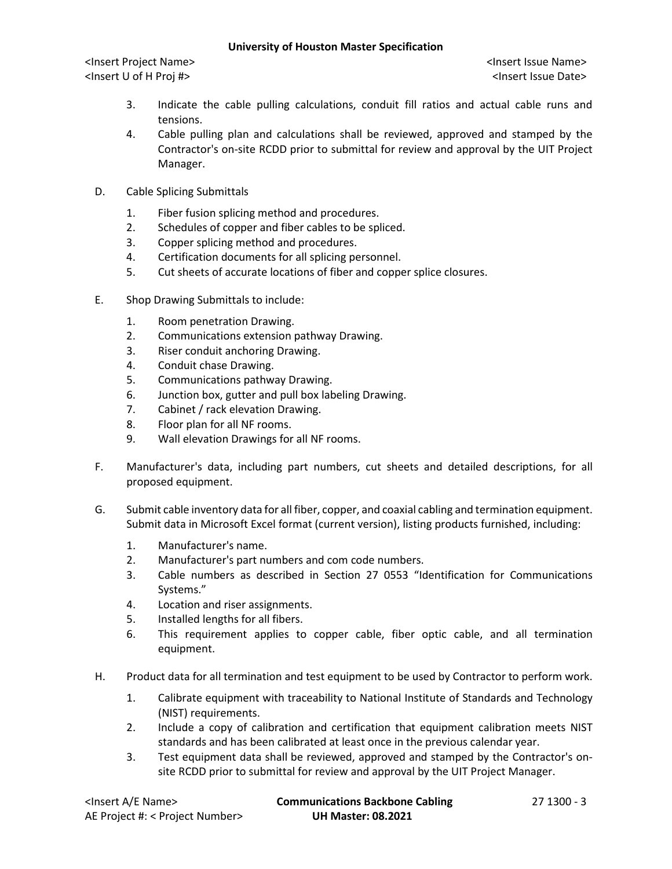## **University of Houston Master Specification**

<Insert Project Name> <Insert Issue Name> <Insert U of H Proj #> <Insert Issue Date>

- 3. Indicate the cable pulling calculations, conduit fill ratios and actual cable runs and tensions.
- 4. Cable pulling plan and calculations shall be reviewed, approved and stamped by the Contractor's on-site RCDD prior to submittal for review and approval by the UIT Project Manager.
- D. Cable Splicing Submittals
	- 1. Fiber fusion splicing method and procedures.
	- 2. Schedules of copper and fiber cables to be spliced.
	- 3. Copper splicing method and procedures.
	- 4. Certification documents for all splicing personnel.
	- 5. Cut sheets of accurate locations of fiber and copper splice closures.
- E. Shop Drawing Submittals to include:
	- 1. Room penetration Drawing.
	- 2. Communications extension pathway Drawing.
	- 3. Riser conduit anchoring Drawing.
	- 4. Conduit chase Drawing.
	- 5. Communications pathway Drawing.
	- 6. Junction box, gutter and pull box labeling Drawing.
	- 7. Cabinet / rack elevation Drawing.
	- 8. Floor plan for all NF rooms.
	- 9. Wall elevation Drawings for all NF rooms.
- F. Manufacturer's data, including part numbers, cut sheets and detailed descriptions, for all proposed equipment.
- G. Submit cable inventory data for all fiber, copper, and coaxial cabling and termination equipment. Submit data in Microsoft Excel format (current version), listing products furnished, including:
	- 1. Manufacturer's name.
	- 2. Manufacturer's part numbers and com code numbers.
	- 3. Cable numbers as described in Section 27 0553 "Identification for Communications Systems."
	- 4. Location and riser assignments.
	- 5. Installed lengths for all fibers.
	- 6. This requirement applies to copper cable, fiber optic cable, and all termination equipment.
- H. Product data for all termination and test equipment to be used by Contractor to perform work.
	- 1. Calibrate equipment with traceability to National Institute of Standards and Technology (NIST) requirements.
	- 2. Include a copy of calibration and certification that equipment calibration meets NIST standards and has been calibrated at least once in the previous calendar year.
	- 3. Test equipment data shall be reviewed, approved and stamped by the Contractor's onsite RCDD prior to submittal for review and approval by the UIT Project Manager.

| <lnsert a="" e="" name=""></lnsert> | <b>Communications Backbone Cabling</b> | 27 1300 - 3 |
|-------------------------------------|----------------------------------------|-------------|
| AE Project #: < Project Number>     | <b>UH Master: 08.2021</b>              |             |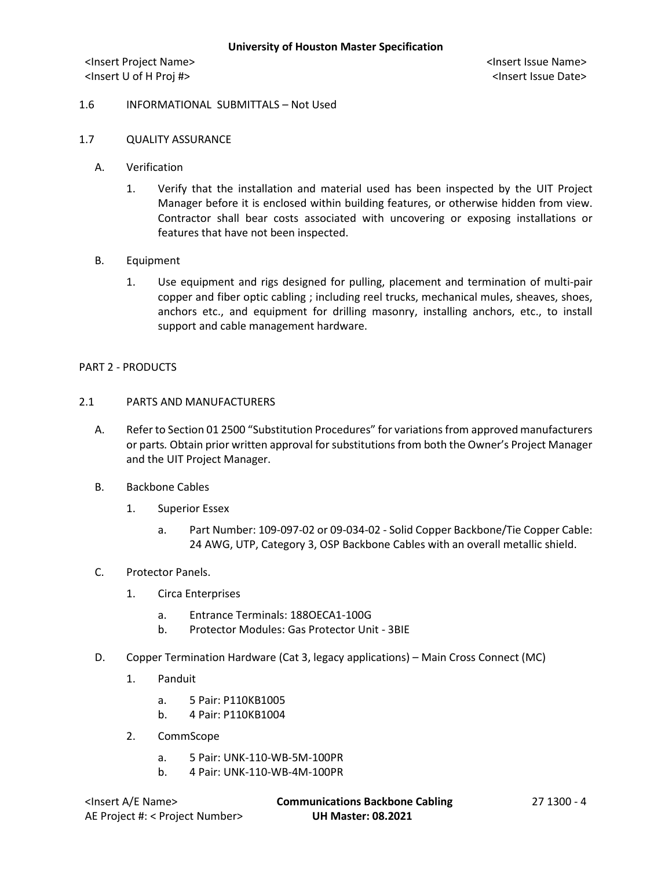### 1.6 INFORMATIONAL SUBMITTALS – Not Used

## 1.7 QUALITY ASSURANCE

- A. Verification
	- 1. Verify that the installation and material used has been inspected by the UIT Project Manager before it is enclosed within building features, or otherwise hidden from view. Contractor shall bear costs associated with uncovering or exposing installations or features that have not been inspected.
- B. Equipment
	- 1. Use equipment and rigs designed for pulling, placement and termination of multi-pair copper and fiber optic cabling ; including reel trucks, mechanical mules, sheaves, shoes, anchors etc., and equipment for drilling masonry, installing anchors, etc., to install support and cable management hardware.

#### PART 2 - PRODUCTS

## 2.1 PARTS AND MANUFACTURERS

- A. Refer to Section 01 2500 "Substitution Procedures" for variations from approved manufacturers or parts*.* Obtain prior written approval for substitutions from both the Owner's Project Manager and the UIT Project Manager.
- B. Backbone Cables
	- 1. Superior Essex
		- a. Part Number: 109-097-02 or 09-034-02 Solid Copper Backbone/Tie Copper Cable: 24 AWG, UTP, Category 3, OSP Backbone Cables with an overall metallic shield.

#### C. Protector Panels.

- 1. Circa Enterprises
	- a. Entrance Terminals: 188OECA1-100G
	- b. Protector Modules: Gas Protector Unit 3BIE
- D. Copper Termination Hardware (Cat 3, legacy applications) Main Cross Connect (MC)
	- 1. Panduit
		- a. 5 Pair: P110KB1005
		- b. 4 Pair: P110KB1004
	- 2. CommScope
		- a. 5 Pair: UNK-110-WB-5M-100PR
		- b. 4 Pair: UNK-110-WB-4M-100PR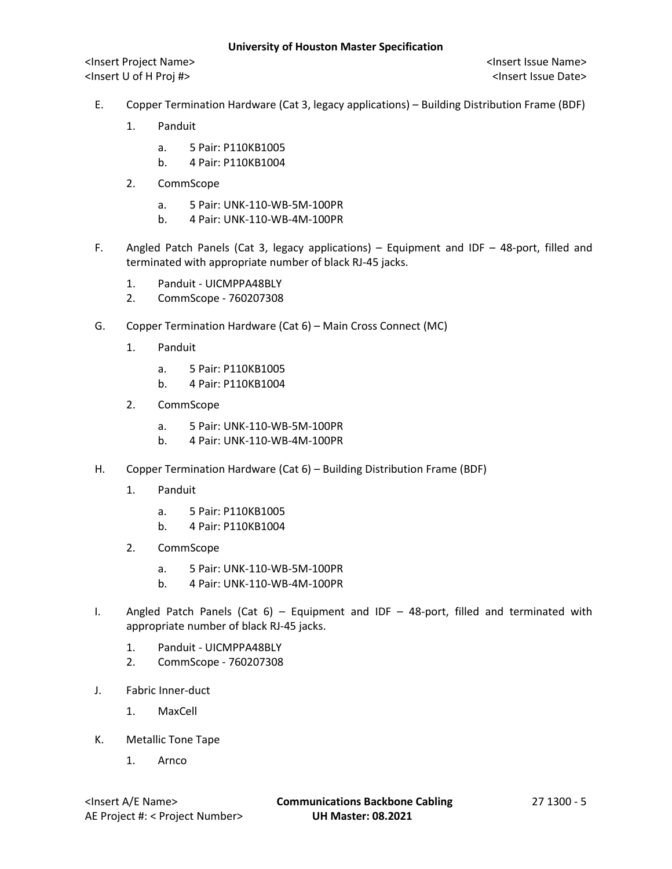- E. Copper Termination Hardware (Cat 3, legacy applications) Building Distribution Frame (BDF)
	- 1. Panduit
		- a. 5 Pair: P110KB1005
		- b. 4 Pair: P110KB1004
	- 2. CommScope
		- a. 5 Pair: UNK-110-WB-5M-100PR
		- b. 4 Pair: UNK-110-WB-4M-100PR
- F. Angled Patch Panels (Cat 3, legacy applications) Equipment and IDF 48-port, filled and terminated with appropriate number of black RJ-45 jacks.
	- 1. Panduit UICMPPA48BLY
	- 2. CommScope 760207308
- G. Copper Termination Hardware (Cat 6) Main Cross Connect (MC)
	- 1. Panduit
		- a. 5 Pair: P110KB1005
		- b. 4 Pair: P110KB1004
	- 2. CommScope
		- a. 5 Pair: UNK-110-WB-5M-100PR
		- b. 4 Pair: UNK-110-WB-4M-100PR
- H. Copper Termination Hardware (Cat 6) Building Distribution Frame (BDF)
	- 1. Panduit
		- a. 5 Pair: P110KB1005
		- b. 4 Pair: P110KB1004
	- 2. CommScope
		- a. 5 Pair: UNK-110-WB-5M-100PR
		- b. 4 Pair: UNK-110-WB-4M-100PR
- I. Angled Patch Panels (Cat  $6$ ) Equipment and IDF 48-port, filled and terminated with appropriate number of black RJ-45 jacks.
	- 1. Panduit UICMPPA48BLY
	- 2. CommScope 760207308
- J. Fabric Inner-duct
	- 1. MaxCell
- K. Metallic Tone Tape
	- 1. Arnco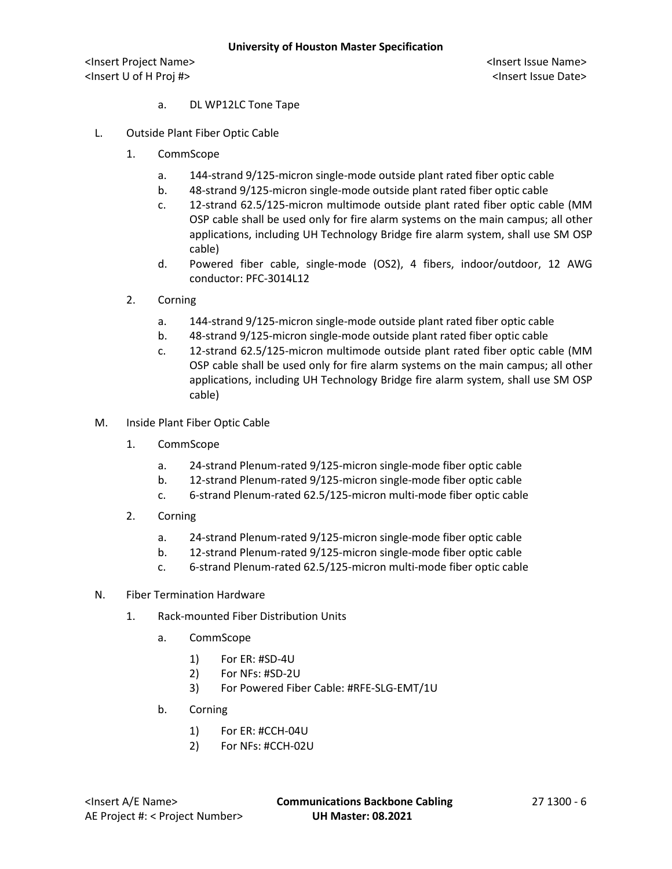- a. DL WP12LC Tone Tape
- L. Outside Plant Fiber Optic Cable
	- 1. CommScope
		- a. 144-strand 9/125-micron single-mode outside plant rated fiber optic cable
		- b. 48-strand 9/125-micron single-mode outside plant rated fiber optic cable
		- c. 12-strand 62.5/125-micron multimode outside plant rated fiber optic cable (MM OSP cable shall be used only for fire alarm systems on the main campus; all other applications, including UH Technology Bridge fire alarm system, shall use SM OSP cable)
		- d. Powered fiber cable, single-mode (OS2), 4 fibers, indoor/outdoor, 12 AWG conductor: PFC-3014L12
	- 2. Corning
		- a. 144-strand 9/125-micron single-mode outside plant rated fiber optic cable
		- b. 48-strand 9/125-micron single-mode outside plant rated fiber optic cable
		- c. 12-strand 62.5/125-micron multimode outside plant rated fiber optic cable (MM OSP cable shall be used only for fire alarm systems on the main campus; all other applications, including UH Technology Bridge fire alarm system, shall use SM OSP cable)
- M. Inside Plant Fiber Optic Cable
	- 1. CommScope
		- a. 24-strand Plenum-rated 9/125-micron single-mode fiber optic cable
		- b. 12-strand Plenum-rated 9/125-micron single-mode fiber optic cable
		- c. 6-strand Plenum-rated 62.5/125-micron multi-mode fiber optic cable
	- 2. Corning
		- a. 24-strand Plenum-rated 9/125-micron single-mode fiber optic cable
		- b. 12-strand Plenum-rated 9/125-micron single-mode fiber optic cable
		- c. 6-strand Plenum-rated 62.5/125-micron multi-mode fiber optic cable
- N. Fiber Termination Hardware
	- 1. Rack-mounted Fiber Distribution Units
		- a. CommScope
			- 1) For ER: #SD-4U
			- 2) For NFs: #SD-2U
			- 3) For Powered Fiber Cable: #RFE-SLG-EMT/1U
		- b. Corning
			- 1) For ER: #CCH-04U
			- 2) For NFs: #CCH-02U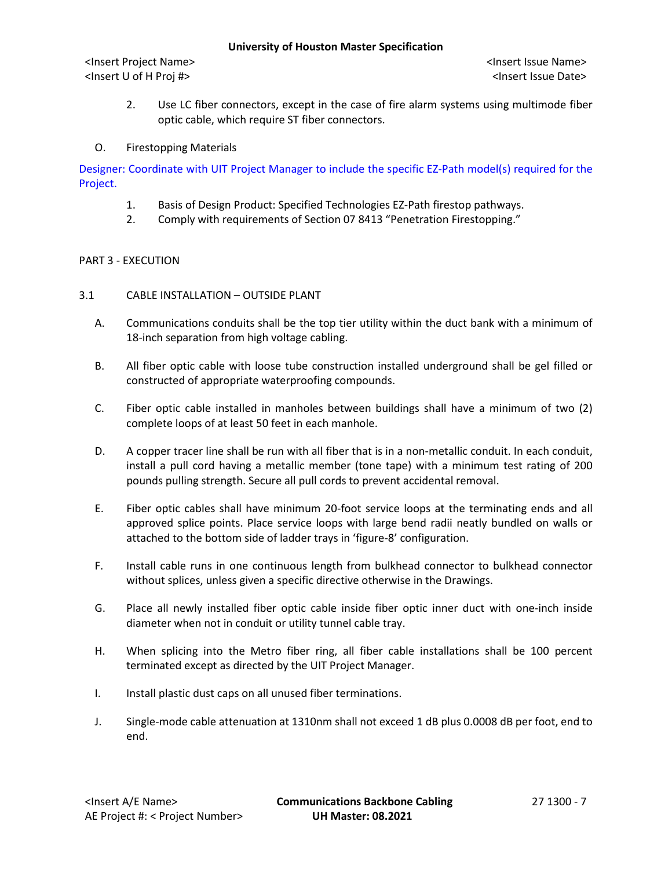2. Use LC fiber connectors, except in the case of fire alarm systems using multimode fiber optic cable, which require ST fiber connectors.

# O. Firestopping Materials

Designer: Coordinate with UIT Project Manager to include the specific EZ-Path model(s) required for the Project.

- 1. Basis of Design Product: Specified Technologies EZ-Path firestop pathways.
- 2. Comply with requirements of Section 07 8413 "Penetration Firestopping."

# PART 3 - EXECUTION

- 3.1 CABLE INSTALLATION OUTSIDE PLANT
	- A. Communications conduits shall be the top tier utility within the duct bank with a minimum of 18-inch separation from high voltage cabling.
	- B. All fiber optic cable with loose tube construction installed underground shall be gel filled or constructed of appropriate waterproofing compounds.
	- C. Fiber optic cable installed in manholes between buildings shall have a minimum of two (2) complete loops of at least 50 feet in each manhole.
	- D. A copper tracer line shall be run with all fiber that is in a non-metallic conduit. In each conduit, install a pull cord having a metallic member (tone tape) with a minimum test rating of 200 pounds pulling strength. Secure all pull cords to prevent accidental removal.
	- E. Fiber optic cables shall have minimum 20-foot service loops at the terminating ends and all approved splice points. Place service loops with large bend radii neatly bundled on walls or attached to the bottom side of ladder trays in 'figure-8' configuration.
	- F. Install cable runs in one continuous length from bulkhead connector to bulkhead connector without splices, unless given a specific directive otherwise in the Drawings.
	- G. Place all newly installed fiber optic cable inside fiber optic inner duct with one-inch inside diameter when not in conduit or utility tunnel cable tray.
	- H. When splicing into the Metro fiber ring, all fiber cable installations shall be 100 percent terminated except as directed by the UIT Project Manager.
	- I. Install plastic dust caps on all unused fiber terminations.
	- J. Single-mode cable attenuation at 1310nm shall not exceed 1 dB plus 0.0008 dB per foot, end to end.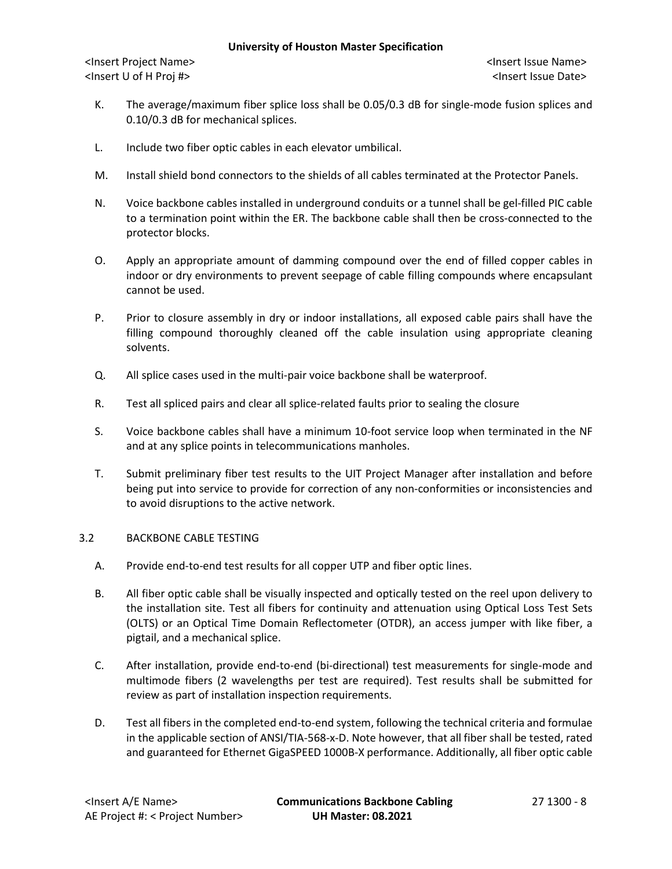#### **University of Houston Master Specification**

<Insert Project Name> <Insert Issue Name> <Insert U of H Proj #> <Insert Issue Date>

- K. The average/maximum fiber splice loss shall be 0.05/0.3 dB for single-mode fusion splices and 0.10/0.3 dB for mechanical splices.
- L. Include two fiber optic cables in each elevator umbilical.
- M. Install shield bond connectors to the shields of all cables terminated at the Protector Panels.
- N. Voice backbone cables installed in underground conduits or a tunnel shall be gel-filled PIC cable to a termination point within the ER. The backbone cable shall then be cross-connected to the protector blocks.
- O. Apply an appropriate amount of damming compound over the end of filled copper cables in indoor or dry environments to prevent seepage of cable filling compounds where encapsulant cannot be used.
- P. Prior to closure assembly in dry or indoor installations, all exposed cable pairs shall have the filling compound thoroughly cleaned off the cable insulation using appropriate cleaning solvents.
- Q. All splice cases used in the multi-pair voice backbone shall be waterproof.
- R. Test all spliced pairs and clear all splice-related faults prior to sealing the closure
- S. Voice backbone cables shall have a minimum 10-foot service loop when terminated in the NF and at any splice points in telecommunications manholes.
- T. Submit preliminary fiber test results to the UIT Project Manager after installation and before being put into service to provide for correction of any non-conformities or inconsistencies and to avoid disruptions to the active network.

## 3.2 BACKBONE CABLE TESTING

- A. Provide end-to-end test results for all copper UTP and fiber optic lines.
- B. All fiber optic cable shall be visually inspected and optically tested on the reel upon delivery to the installation site. Test all fibers for continuity and attenuation using Optical Loss Test Sets (OLTS) or an Optical Time Domain Reflectometer (OTDR), an access jumper with like fiber, a pigtail, and a mechanical splice.
- C. After installation, provide end-to-end (bi-directional) test measurements for single-mode and multimode fibers (2 wavelengths per test are required). Test results shall be submitted for review as part of installation inspection requirements.
- D. Test all fibers in the completed end-to-end system, following the technical criteria and formulae in the applicable section of ANSI/TIA-568-x-D. Note however, that all fiber shall be tested, rated and guaranteed for Ethernet GigaSPEED 1000B-X performance. Additionally, all fiber optic cable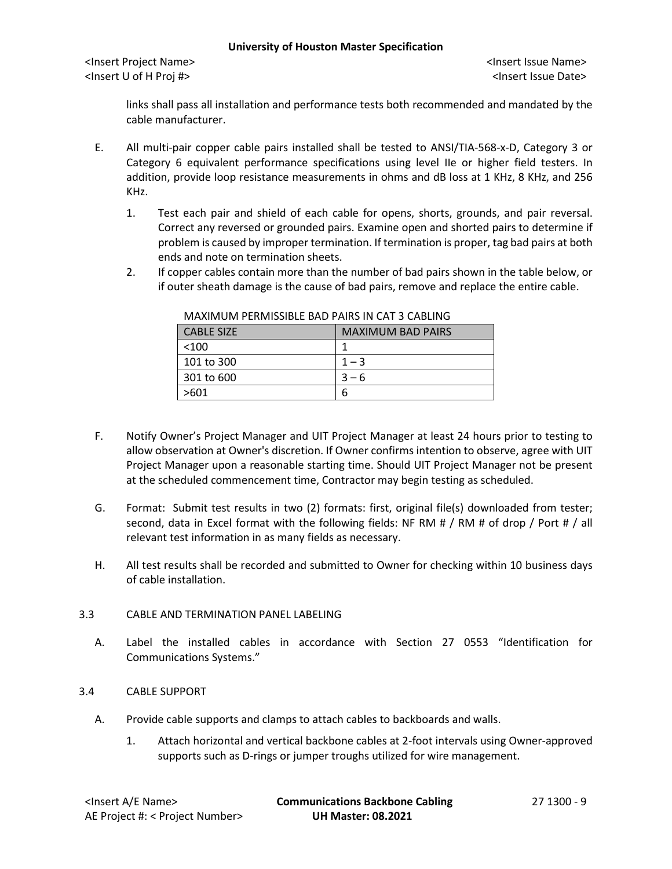#### **University of Houston Master Specification**

<Insert Project Name> <Insert Issue Name> <Insert U of H Proj #> <Insert Issue Date>

links shall pass all installation and performance tests both recommended and mandated by the cable manufacturer.

- E. All multi-pair copper cable pairs installed shall be tested to ANSI/TIA-568-x-D, Category 3 or Category 6 equivalent performance specifications using level IIe or higher field testers. In addition, provide loop resistance measurements in ohms and dB loss at 1 KHz, 8 KHz, and 256 KHz.
	- 1. Test each pair and shield of each cable for opens, shorts, grounds, and pair reversal. Correct any reversed or grounded pairs. Examine open and shorted pairs to determine if problem is caused by improper termination. If termination is proper, tag bad pairs at both ends and note on termination sheets.
	- 2. If copper cables contain more than the number of bad pairs shown in the table below, or if outer sheath damage is the cause of bad pairs, remove and replace the entire cable.

| <b>CABLE SIZE</b> | <b>MAXIMUM BAD PAIRS</b> |
|-------------------|--------------------------|
| <100              |                          |
| 101 to 300        | $1 - 3$                  |
| 301 to 600        | $3 - 6$                  |
| >601              | ь                        |

MAXIMUM PERMISSIBLE BAD PAIRS IN CAT 3 CABLING

- F. Notify Owner's Project Manager and UIT Project Manager at least 24 hours prior to testing to allow observation at Owner's discretion. If Owner confirms intention to observe, agree with UIT Project Manager upon a reasonable starting time. Should UIT Project Manager not be present at the scheduled commencement time, Contractor may begin testing as scheduled.
- G. Format: Submit test results in two (2) formats: first, original file(s) downloaded from tester; second, data in Excel format with the following fields: NF RM # / RM # of drop / Port # / all relevant test information in as many fields as necessary.
- H. All test results shall be recorded and submitted to Owner for checking within 10 business days of cable installation.

# 3.3 CABLE AND TERMINATION PANEL LABELING

A. Label the installed cables in accordance with Section 27 0553 "Identification for Communications Systems."

# 3.4 CABLE SUPPORT

- A. Provide cable supports and clamps to attach cables to backboards and walls.
	- 1. Attach horizontal and vertical backbone cables at 2-foot intervals using Owner-approved supports such as D-rings or jumper troughs utilized for wire management.